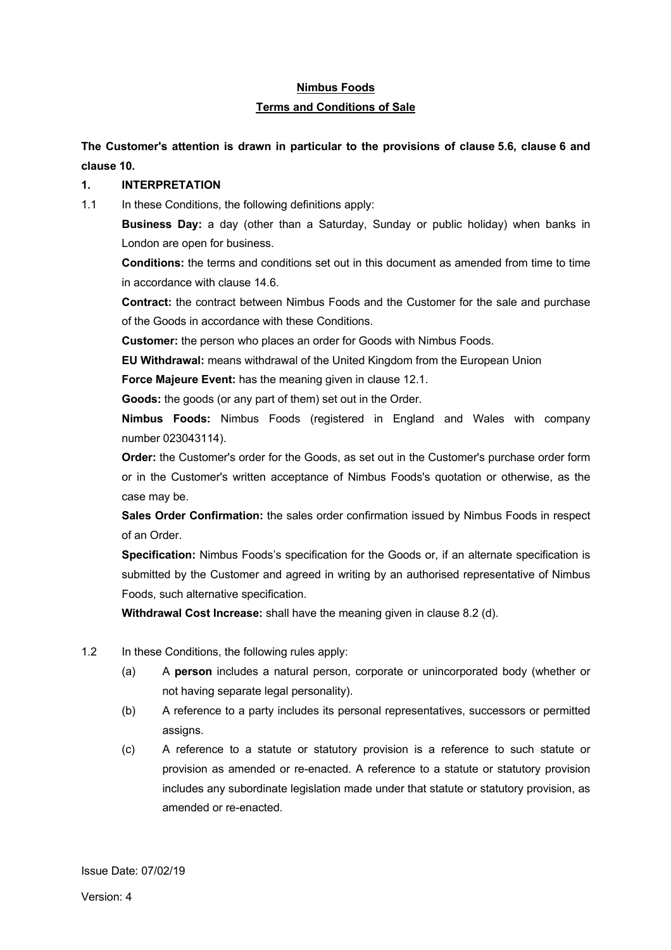# **Nimbus Foods Terms and Conditions of Sale**

**The Customer's attention is drawn in particular to the provisions of clause 5.6, clause 6 and clause 10.**

## **1. INTERPRETATION**

1.1 In these Conditions, the following definitions apply:

**Business Day:** a day (other than a Saturday, Sunday or public holiday) when banks in London are open for business.

**Conditions:** the terms and conditions set out in this document as amended from time to time in accordance with clause 14.6.

**Contract:** the contract between Nimbus Foods and the Customer for the sale and purchase of the Goods in accordance with these Conditions.

**Customer:** the person who places an order for Goods with Nimbus Foods.

**EU Withdrawal:** means withdrawal of the United Kingdom from the European Union

**Force Majeure Event:** has the meaning given in clause 12.1.

**Goods:** the goods (or any part of them) set out in the Order.

**Nimbus Foods:** Nimbus Foods (registered in England and Wales with company number 023043114).

**Order:** the Customer's order for the Goods, as set out in the Customer's purchase order form or in the Customer's written acceptance of Nimbus Foods's quotation or otherwise, as the case may be.

**Sales Order Confirmation:** the sales order confirmation issued by Nimbus Foods in respect of an Order.

**Specification:** Nimbus Foods's specification for the Goods or, if an alternate specification is submitted by the Customer and agreed in writing by an authorised representative of Nimbus Foods, such alternative specification.

**Withdrawal Cost Increase:** shall have the meaning given in clause 8.2 (d).

- 1.2 In these Conditions, the following rules apply:
	- (a) A **person** includes a natural person, corporate or unincorporated body (whether or not having separate legal personality).
	- (b) A reference to a party includes its personal representatives, successors or permitted assigns.
	- (c) A reference to a statute or statutory provision is a reference to such statute or provision as amended or re-enacted. A reference to a statute or statutory provision includes any subordinate legislation made under that statute or statutory provision, as amended or re-enacted.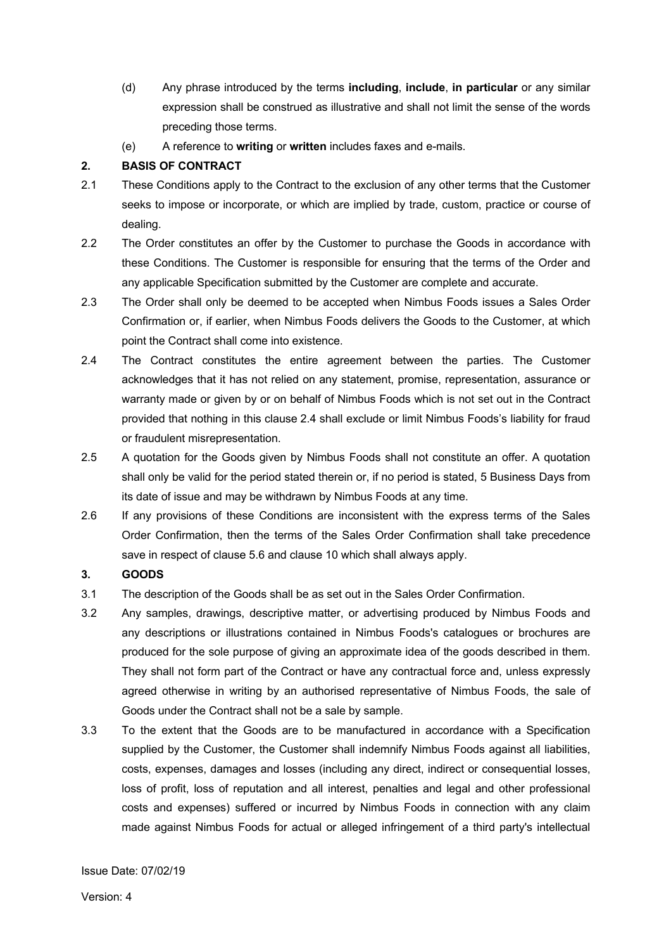- (d) Any phrase introduced by the terms **including**, **include**, **in particular** or any similar expression shall be construed as illustrative and shall not limit the sense of the words preceding those terms.
- (e) A reference to **writing** or **written** includes faxes and e-mails.

## **2. BASIS OF CONTRACT**

- 2.1 These Conditions apply to the Contract to the exclusion of any other terms that the Customer seeks to impose or incorporate, or which are implied by trade, custom, practice or course of dealing.
- 2.2 The Order constitutes an offer by the Customer to purchase the Goods in accordance with these Conditions. The Customer is responsible for ensuring that the terms of the Order and any applicable Specification submitted by the Customer are complete and accurate.
- 2.3 The Order shall only be deemed to be accepted when Nimbus Foods issues a Sales Order Confirmation or, if earlier, when Nimbus Foods delivers the Goods to the Customer, at which point the Contract shall come into existence.
- 2.4 The Contract constitutes the entire agreement between the parties. The Customer acknowledges that it has not relied on any statement, promise, representation, assurance or warranty made or given by or on behalf of Nimbus Foods which is not set out in the Contract provided that nothing in this clause 2.4 shall exclude or limit Nimbus Foods's liability for fraud or fraudulent misrepresentation.
- 2.5 A quotation for the Goods given by Nimbus Foods shall not constitute an offer. A quotation shall only be valid for the period stated therein or, if no period is stated, 5 Business Days from its date of issue and may be withdrawn by Nimbus Foods at any time.
- 2.6 If any provisions of these Conditions are inconsistent with the express terms of the Sales Order Confirmation, then the terms of the Sales Order Confirmation shall take precedence save in respect of clause 5.6 and clause 10 which shall always apply.

# **3. GOODS**

- 3.1 The description of the Goods shall be as set out in the Sales Order Confirmation.
- 3.2 Any samples, drawings, descriptive matter, or advertising produced by Nimbus Foods and any descriptions or illustrations contained in Nimbus Foods's catalogues or brochures are produced for the sole purpose of giving an approximate idea of the goods described in them. They shall not form part of the Contract or have any contractual force and, unless expressly agreed otherwise in writing by an authorised representative of Nimbus Foods, the sale of Goods under the Contract shall not be a sale by sample.
- 3.3 To the extent that the Goods are to be manufactured in accordance with a Specification supplied by the Customer, the Customer shall indemnify Nimbus Foods against all liabilities, costs, expenses, damages and losses (including any direct, indirect or consequential losses, loss of profit, loss of reputation and all interest, penalties and legal and other professional costs and expenses) suffered or incurred by Nimbus Foods in connection with any claim made against Nimbus Foods for actual or alleged infringement of a third party's intellectual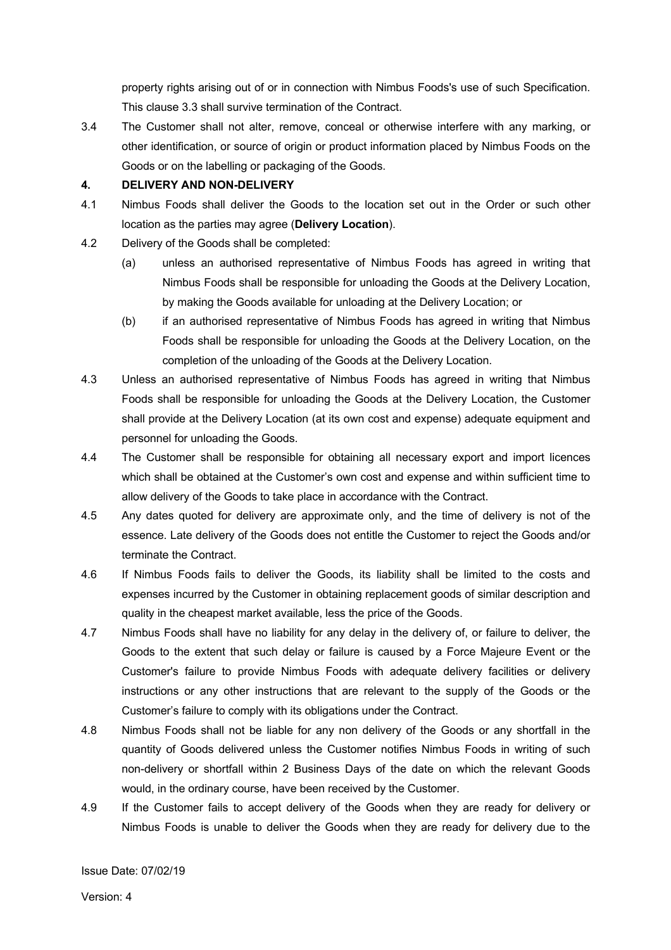property rights arising out of or in connection with Nimbus Foods's use of such Specification. This clause 3.3 shall survive termination of the Contract.

3.4 The Customer shall not alter, remove, conceal or otherwise interfere with any marking, or other identification, or source of origin or product information placed by Nimbus Foods on the Goods or on the labelling or packaging of the Goods.

## **4. DELIVERY AND NON-DELIVERY**

- 4.1 Nimbus Foods shall deliver the Goods to the location set out in the Order or such other location as the parties may agree (**Delivery Location**).
- 4.2 Delivery of the Goods shall be completed:
	- (a) unless an authorised representative of Nimbus Foods has agreed in writing that Nimbus Foods shall be responsible for unloading the Goods at the Delivery Location, by making the Goods available for unloading at the Delivery Location; or
	- (b) if an authorised representative of Nimbus Foods has agreed in writing that Nimbus Foods shall be responsible for unloading the Goods at the Delivery Location, on the completion of the unloading of the Goods at the Delivery Location.
- 4.3 Unless an authorised representative of Nimbus Foods has agreed in writing that Nimbus Foods shall be responsible for unloading the Goods at the Delivery Location, the Customer shall provide at the Delivery Location (at its own cost and expense) adequate equipment and personnel for unloading the Goods.
- 4.4 The Customer shall be responsible for obtaining all necessary export and import licences which shall be obtained at the Customer's own cost and expense and within sufficient time to allow delivery of the Goods to take place in accordance with the Contract.
- 4.5 Any dates quoted for delivery are approximate only, and the time of delivery is not of the essence. Late delivery of the Goods does not entitle the Customer to reject the Goods and/or terminate the Contract.
- 4.6 If Nimbus Foods fails to deliver the Goods, its liability shall be limited to the costs and expenses incurred by the Customer in obtaining replacement goods of similar description and quality in the cheapest market available, less the price of the Goods.
- 4.7 Nimbus Foods shall have no liability for any delay in the delivery of, or failure to deliver, the Goods to the extent that such delay or failure is caused by a Force Majeure Event or the Customer's failure to provide Nimbus Foods with adequate delivery facilities or delivery instructions or any other instructions that are relevant to the supply of the Goods or the Customer's failure to comply with its obligations under the Contract.
- 4.8 Nimbus Foods shall not be liable for any non delivery of the Goods or any shortfall in the quantity of Goods delivered unless the Customer notifies Nimbus Foods in writing of such non-delivery or shortfall within 2 Business Days of the date on which the relevant Goods would, in the ordinary course, have been received by the Customer.
- 4.9 If the Customer fails to accept delivery of the Goods when they are ready for delivery or Nimbus Foods is unable to deliver the Goods when they are ready for delivery due to the

Issue Date: 07/02/19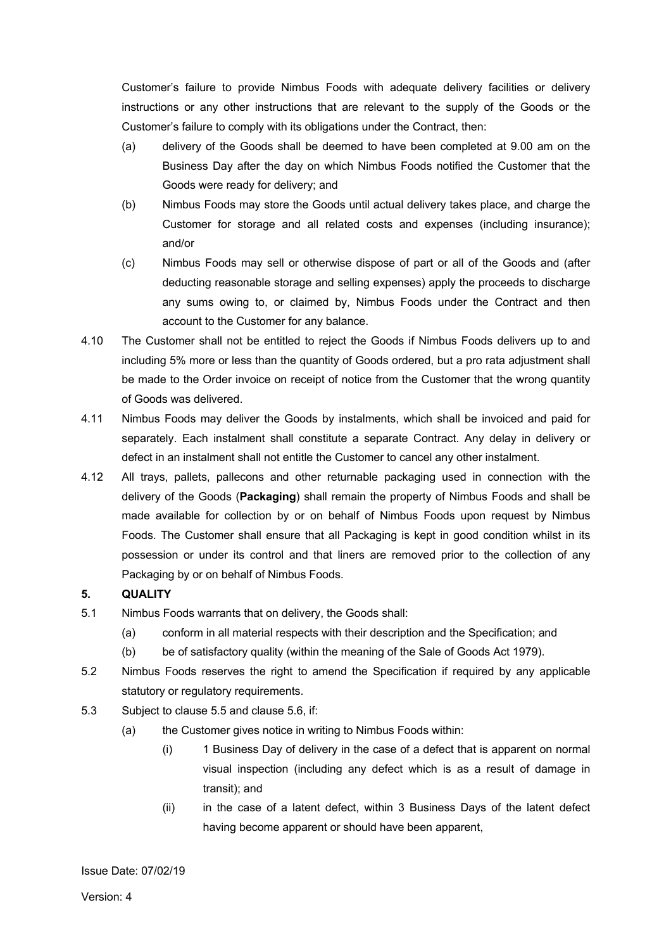Customer's failure to provide Nimbus Foods with adequate delivery facilities or delivery instructions or any other instructions that are relevant to the supply of the Goods or the Customer's failure to comply with its obligations under the Contract, then:

- (a) delivery of the Goods shall be deemed to have been completed at 9.00 am on the Business Day after the day on which Nimbus Foods notified the Customer that the Goods were ready for delivery; and
- (b) Nimbus Foods may store the Goods until actual delivery takes place, and charge the Customer for storage and all related costs and expenses (including insurance); and/or
- (c) Nimbus Foods may sell or otherwise dispose of part or all of the Goods and (after deducting reasonable storage and selling expenses) apply the proceeds to discharge any sums owing to, or claimed by, Nimbus Foods under the Contract and then account to the Customer for any balance.
- 4.10 The Customer shall not be entitled to reject the Goods if Nimbus Foods delivers up to and including 5% more or less than the quantity of Goods ordered, but a pro rata adjustment shall be made to the Order invoice on receipt of notice from the Customer that the wrong quantity of Goods was delivered.
- 4.11 Nimbus Foods may deliver the Goods by instalments, which shall be invoiced and paid for separately. Each instalment shall constitute a separate Contract. Any delay in delivery or defect in an instalment shall not entitle the Customer to cancel any other instalment.
- 4.12 All trays, pallets, pallecons and other returnable packaging used in connection with the delivery of the Goods (**Packaging**) shall remain the property of Nimbus Foods and shall be made available for collection by or on behalf of Nimbus Foods upon request by Nimbus Foods. The Customer shall ensure that all Packaging is kept in good condition whilst in its possession or under its control and that liners are removed prior to the collection of any Packaging by or on behalf of Nimbus Foods.

# **5. QUALITY**

- 5.1 Nimbus Foods warrants that on delivery, the Goods shall:
	- (a) conform in all material respects with their description and the Specification; and
	- (b) be of satisfactory quality (within the meaning of the Sale of Goods Act 1979).
- 5.2 Nimbus Foods reserves the right to amend the Specification if required by any applicable statutory or regulatory requirements.
- 5.3 Subject to clause 5.5 and clause 5.6, if:
	- (a) the Customer gives notice in writing to Nimbus Foods within:
		- (i) 1 Business Day of delivery in the case of a defect that is apparent on normal visual inspection (including any defect which is as a result of damage in transit); and
		- (ii) in the case of a latent defect, within 3 Business Days of the latent defect having become apparent or should have been apparent,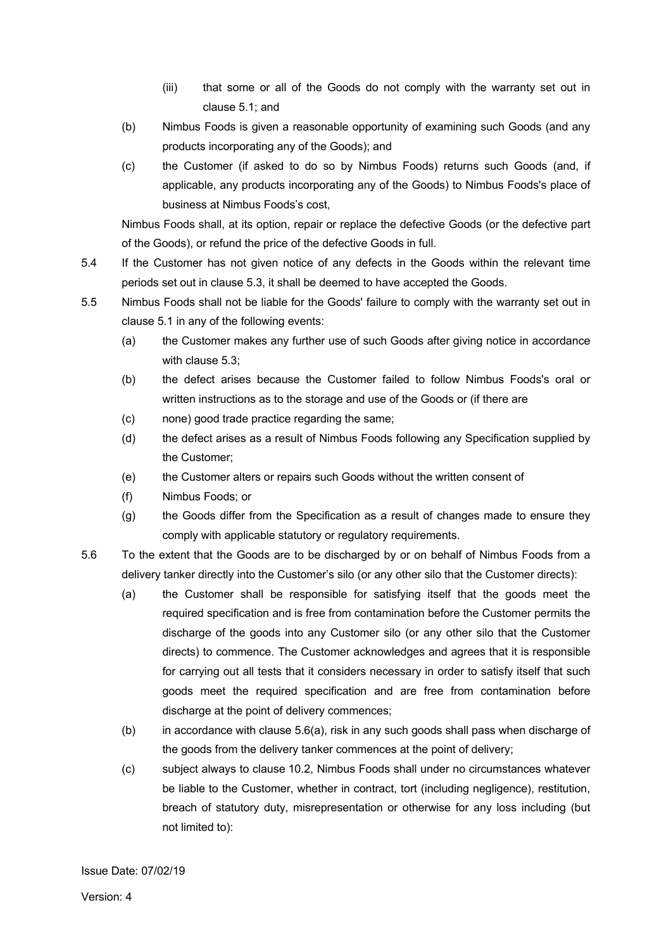- (iii) that some or all of the Goods do not comply with the warranty set out in clause 5.1; and
- (b) Nimbus Foods is given a reasonable opportunity of examining such Goods (and any products incorporating any of the Goods); and
- (c) the Customer (if asked to do so by Nimbus Foods) returns such Goods (and, if applicable, any products incorporating any of the Goods) to Nimbus Foods's place of business at Nimbus Foods's cost,

Nimbus Foods shall, at its option, repair or replace the defective Goods (or the defective part of the Goods), or refund the price of the defective Goods in full.

- 5.4 If the Customer has not given notice of any defects in the Goods within the relevant time periods set out in clause 5.3, it shall be deemed to have accepted the Goods.
- 5.5 Nimbus Foods shall not be liable for the Goods' failure to comply with the warranty set out in clause 5.1 in any of the following events:
	- (a) the Customer makes any further use of such Goods after giving notice in accordance with clause 5.3;
	- (b) the defect arises because the Customer failed to follow Nimbus Foods's oral or written instructions as to the storage and use of the Goods or (if there are
	- (c) none) good trade practice regarding the same;
	- (d) the defect arises as a result of Nimbus Foods following any Specification supplied by the Customer;
	- (e) the Customer alters or repairs such Goods without the written consent of
	- (f) Nimbus Foods; or
	- (g) the Goods differ from the Specification as a result of changes made to ensure they comply with applicable statutory or regulatory requirements.
- 5.6 To the extent that the Goods are to be discharged by or on behalf of Nimbus Foods from a delivery tanker directly into the Customer's silo (or any other silo that the Customer directs):
	- (a) the Customer shall be responsible for satisfying itself that the goods meet the required specification and is free from contamination before the Customer permits the discharge of the goods into any Customer silo (or any other silo that the Customer directs) to commence. The Customer acknowledges and agrees that it is responsible for carrying out all tests that it considers necessary in order to satisfy itself that such goods meet the required specification and are free from contamination before discharge at the point of delivery commences;
	- (b) in accordance with clause 5.6(a), risk in any such goods shall pass when discharge of the goods from the delivery tanker commences at the point of delivery;
	- (c) subject always to clause 10.2, Nimbus Foods shall under no circumstances whatever be liable to the Customer, whether in contract, tort (including negligence), restitution, breach of statutory duty, misrepresentation or otherwise for any loss including (but not limited to):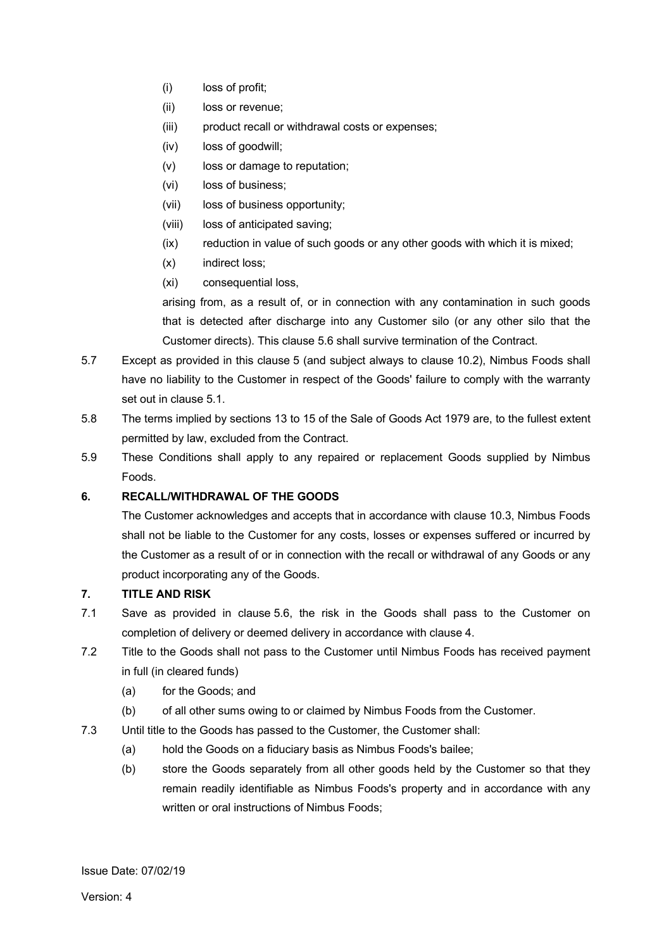- (i) loss of profit;
- (ii) loss or revenue;
- (iii) product recall or withdrawal costs or expenses;
- (iv) loss of goodwill;
- (v) loss or damage to reputation;
- (vi) loss of business;
- (vii) loss of business opportunity;
- (viii) loss of anticipated saving;
- (ix) reduction in value of such goods or any other goods with which it is mixed;
- (x) indirect loss;
- (xi) consequential loss,

arising from, as a result of, or in connection with any contamination in such goods that is detected after discharge into any Customer silo (or any other silo that the Customer directs). This clause 5.6 shall survive termination of the Contract.

- 5.7 Except as provided in this clause 5 (and subject always to clause 10.2), Nimbus Foods shall have no liability to the Customer in respect of the Goods' failure to comply with the warranty set out in clause 5.1.
- 5.8 The terms implied by sections 13 to 15 of the Sale of Goods Act 1979 are, to the fullest extent permitted by law, excluded from the Contract.
- 5.9 These Conditions shall apply to any repaired or replacement Goods supplied by Nimbus Foods.

# **6. RECALL/WITHDRAWAL OF THE GOODS**

The Customer acknowledges and accepts that in accordance with clause 10.3, Nimbus Foods shall not be liable to the Customer for any costs, losses or expenses suffered or incurred by the Customer as a result of or in connection with the recall or withdrawal of any Goods or any product incorporating any of the Goods.

# **7. TITLE AND RISK**

- 7.1 Save as provided in clause 5.6, the risk in the Goods shall pass to the Customer on completion of delivery or deemed delivery in accordance with clause 4.
- 7.2 Title to the Goods shall not pass to the Customer until Nimbus Foods has received payment in full (in cleared funds)
	- (a) for the Goods; and
	- (b) of all other sums owing to or claimed by Nimbus Foods from the Customer.
- 7.3 Until title to the Goods has passed to the Customer, the Customer shall:
	- (a) hold the Goods on a fiduciary basis as Nimbus Foods's bailee;
	- (b) store the Goods separately from all other goods held by the Customer so that they remain readily identifiable as Nimbus Foods's property and in accordance with any written or oral instructions of Nimbus Foods;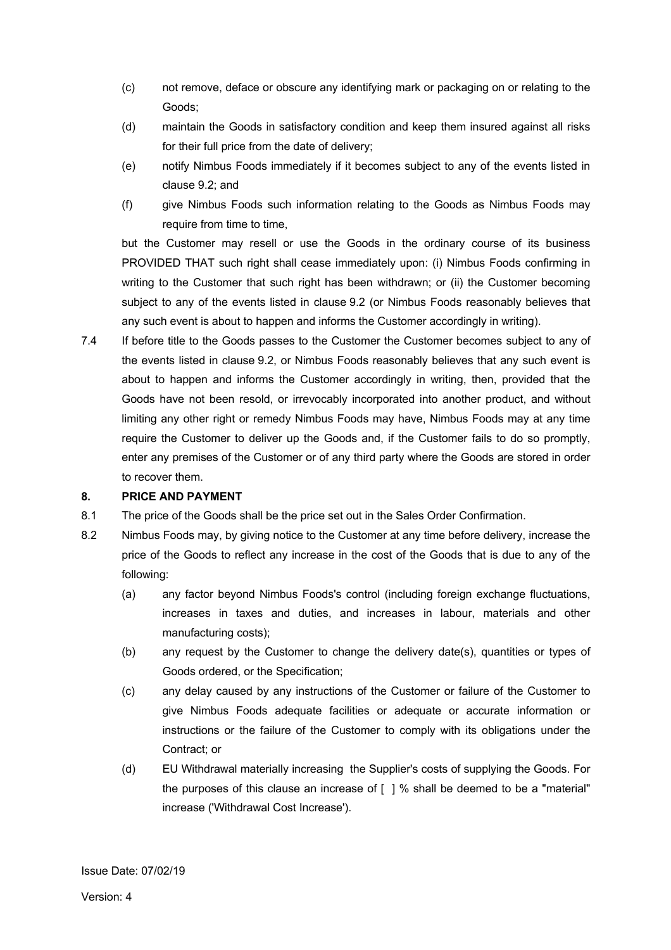- (c) not remove, deface or obscure any identifying mark or packaging on or relating to the Goods;
- (d) maintain the Goods in satisfactory condition and keep them insured against all risks for their full price from the date of delivery;
- (e) notify Nimbus Foods immediately if it becomes subject to any of the events listed in clause 9.2; and
- (f) give Nimbus Foods such information relating to the Goods as Nimbus Foods may require from time to time,

but the Customer may resell or use the Goods in the ordinary course of its business PROVIDED THAT such right shall cease immediately upon: (i) Nimbus Foods confirming in writing to the Customer that such right has been withdrawn; or (ii) the Customer becoming subject to any of the events listed in clause 9.2 (or Nimbus Foods reasonably believes that any such event is about to happen and informs the Customer accordingly in writing).

7.4 If before title to the Goods passes to the Customer the Customer becomes subject to any of the events listed in clause 9.2, or Nimbus Foods reasonably believes that any such event is about to happen and informs the Customer accordingly in writing, then, provided that the Goods have not been resold, or irrevocably incorporated into another product, and without limiting any other right or remedy Nimbus Foods may have, Nimbus Foods may at any time require the Customer to deliver up the Goods and, if the Customer fails to do so promptly, enter any premises of the Customer or of any third party where the Goods are stored in order to recover them.

## **8. PRICE AND PAYMENT**

- 8.1 The price of the Goods shall be the price set out in the Sales Order Confirmation.
- 8.2 Nimbus Foods may, by giving notice to the Customer at any time before delivery, increase the price of the Goods to reflect any increase in the cost of the Goods that is due to any of the following:
	- (a) any factor beyond Nimbus Foods's control (including foreign exchange fluctuations, increases in taxes and duties, and increases in labour, materials and other manufacturing costs);
	- (b) any request by the Customer to change the delivery date(s), quantities or types of Goods ordered, or the Specification;
	- (c) any delay caused by any instructions of the Customer or failure of the Customer to give Nimbus Foods adequate facilities or adequate or accurate information or instructions or the failure of the Customer to comply with its obligations under the Contract; or
	- (d) EU Withdrawal materially increasing the Supplier's costs of supplying the Goods. For the purposes of this clause an increase of [ ] % shall be deemed to be a "material" increase ('Withdrawal Cost Increase').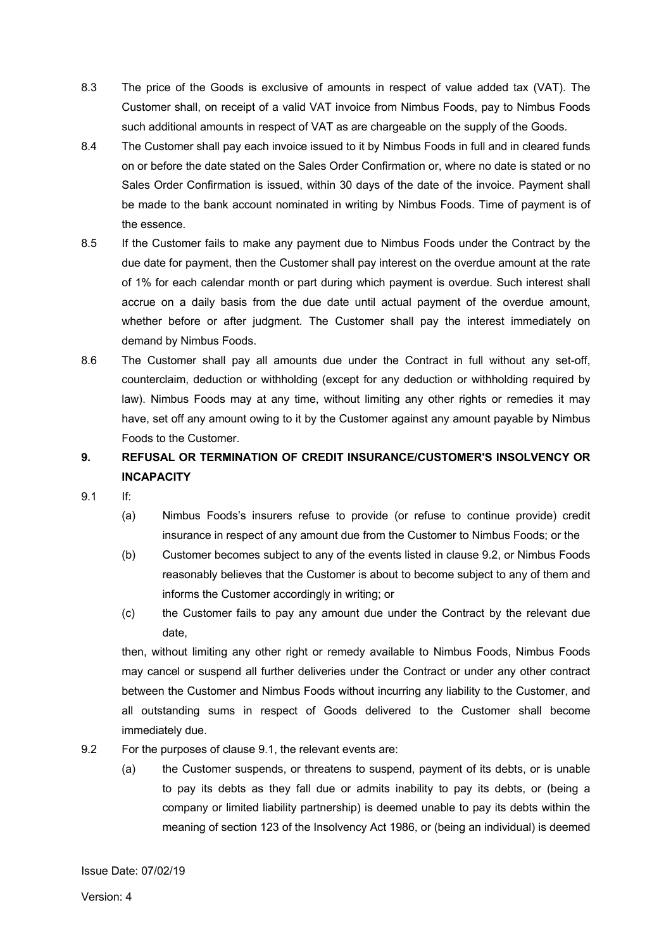- 8.3 The price of the Goods is exclusive of amounts in respect of value added tax (VAT). The Customer shall, on receipt of a valid VAT invoice from Nimbus Foods, pay to Nimbus Foods such additional amounts in respect of VAT as are chargeable on the supply of the Goods.
- 8.4 The Customer shall pay each invoice issued to it by Nimbus Foods in full and in cleared funds on or before the date stated on the Sales Order Confirmation or, where no date is stated or no Sales Order Confirmation is issued, within 30 days of the date of the invoice. Payment shall be made to the bank account nominated in writing by Nimbus Foods. Time of payment is of the essence.
- 8.5 If the Customer fails to make any payment due to Nimbus Foods under the Contract by the due date for payment, then the Customer shall pay interest on the overdue amount at the rate of 1% for each calendar month or part during which payment is overdue. Such interest shall accrue on a daily basis from the due date until actual payment of the overdue amount, whether before or after judgment. The Customer shall pay the interest immediately on demand by Nimbus Foods.
- 8.6 The Customer shall pay all amounts due under the Contract in full without any set-off, counterclaim, deduction or withholding (except for any deduction or withholding required by law). Nimbus Foods may at any time, without limiting any other rights or remedies it may have, set off any amount owing to it by the Customer against any amount payable by Nimbus Foods to the Customer.

# **9. REFUSAL OR TERMINATION OF CREDIT INSURANCE/CUSTOMER'S INSOLVENCY OR INCAPACITY**

- 9.1 If:
	- (a) Nimbus Foods's insurers refuse to provide (or refuse to continue provide) credit insurance in respect of any amount due from the Customer to Nimbus Foods; or the
	- (b) Customer becomes subject to any of the events listed in clause 9.2, or Nimbus Foods reasonably believes that the Customer is about to become subject to any of them and informs the Customer accordingly in writing; or
	- (c) the Customer fails to pay any amount due under the Contract by the relevant due date,

then, without limiting any other right or remedy available to Nimbus Foods, Nimbus Foods may cancel or suspend all further deliveries under the Contract or under any other contract between the Customer and Nimbus Foods without incurring any liability to the Customer, and all outstanding sums in respect of Goods delivered to the Customer shall become immediately due.

- 9.2 For the purposes of clause 9.1, the relevant events are:
	- (a) the Customer suspends, or threatens to suspend, payment of its debts, or is unable to pay its debts as they fall due or admits inability to pay its debts, or (being a company or limited liability partnership) is deemed unable to pay its debts within the meaning of section 123 of the Insolvency Act 1986, or (being an individual) is deemed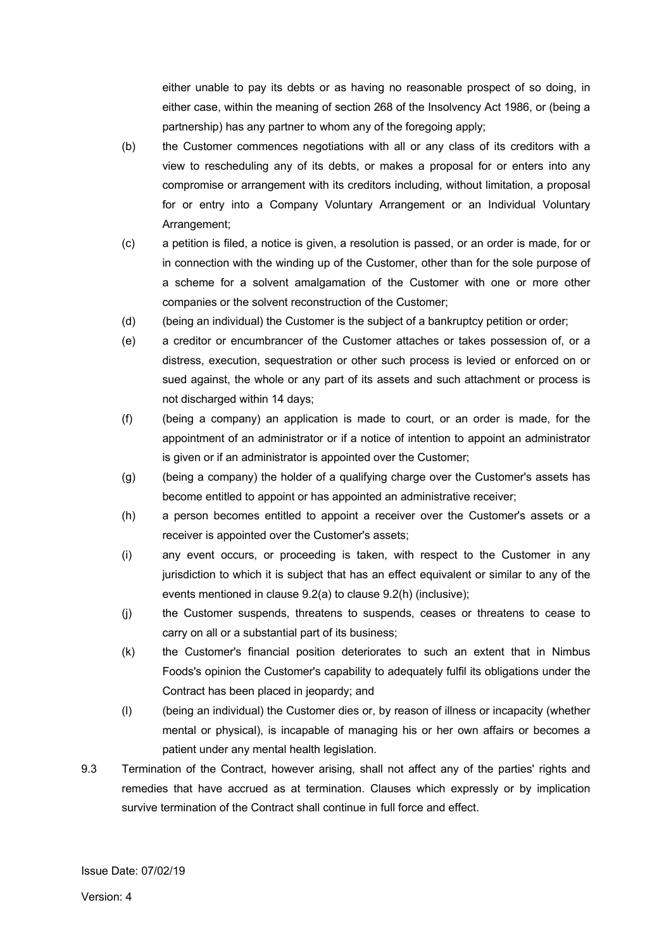either unable to pay its debts or as having no reasonable prospect of so doing, in either case, within the meaning of section 268 of the Insolvency Act 1986, or (being a partnership) has any partner to whom any of the foregoing apply;

- (b) the Customer commences negotiations with all or any class of its creditors with a view to rescheduling any of its debts, or makes a proposal for or enters into any compromise or arrangement with its creditors including, without limitation, a proposal for or entry into a Company Voluntary Arrangement or an Individual Voluntary Arrangement;
- (c) a petition is filed, a notice is given, a resolution is passed, or an order is made, for or in connection with the winding up of the Customer, other than for the sole purpose of a scheme for a solvent amalgamation of the Customer with one or more other companies or the solvent reconstruction of the Customer;
- (d) (being an individual) the Customer is the subject of a bankruptcy petition or order;
- (e) a creditor or encumbrancer of the Customer attaches or takes possession of, or a distress, execution, sequestration or other such process is levied or enforced on or sued against, the whole or any part of its assets and such attachment or process is not discharged within 14 days;
- (f) (being a company) an application is made to court, or an order is made, for the appointment of an administrator or if a notice of intention to appoint an administrator is given or if an administrator is appointed over the Customer;
- (g) (being a company) the holder of a qualifying charge over the Customer's assets has become entitled to appoint or has appointed an administrative receiver;
- (h) a person becomes entitled to appoint a receiver over the Customer's assets or a receiver is appointed over the Customer's assets;
- (i) any event occurs, or proceeding is taken, with respect to the Customer in any jurisdiction to which it is subject that has an effect equivalent or similar to any of the events mentioned in clause 9.2(a) to clause 9.2(h) (inclusive);
- (j) the Customer suspends, threatens to suspends, ceases or threatens to cease to carry on all or a substantial part of its business;
- (k) the Customer's financial position deteriorates to such an extent that in Nimbus Foods's opinion the Customer's capability to adequately fulfil its obligations under the Contract has been placed in jeopardy; and
- (l) (being an individual) the Customer dies or, by reason of illness or incapacity (whether mental or physical), is incapable of managing his or her own affairs or becomes a patient under any mental health legislation.
- 9.3 Termination of the Contract, however arising, shall not affect any of the parties' rights and remedies that have accrued as at termination. Clauses which expressly or by implication survive termination of the Contract shall continue in full force and effect.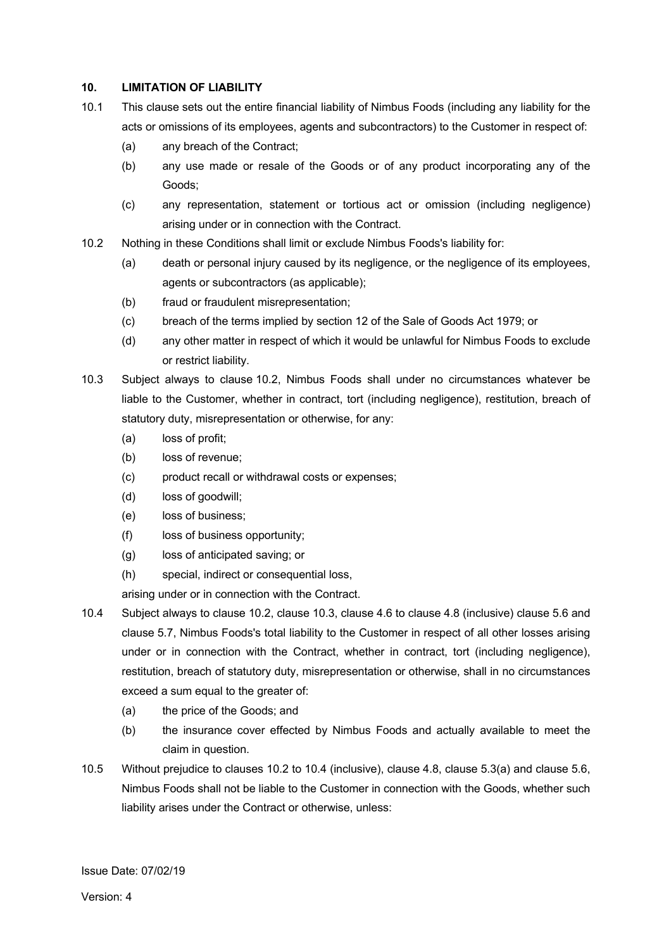### **10. LIMITATION OF LIABILITY**

- 10.1 This clause sets out the entire financial liability of Nimbus Foods (including any liability for the acts or omissions of its employees, agents and subcontractors) to the Customer in respect of:
	- (a) any breach of the Contract;
	- (b) any use made or resale of the Goods or of any product incorporating any of the Goods;
	- (c) any representation, statement or tortious act or omission (including negligence) arising under or in connection with the Contract.
- 10.2 Nothing in these Conditions shall limit or exclude Nimbus Foods's liability for:
	- (a) death or personal injury caused by its negligence, or the negligence of its employees, agents or subcontractors (as applicable);
	- (b) fraud or fraudulent misrepresentation;
	- (c) breach of the terms implied by section 12 of the Sale of Goods Act 1979; or
	- (d) any other matter in respect of which it would be unlawful for Nimbus Foods to exclude or restrict liability.
- 10.3 Subject always to clause 10.2, Nimbus Foods shall under no circumstances whatever be liable to the Customer, whether in contract, tort (including negligence), restitution, breach of statutory duty, misrepresentation or otherwise, for any:
	- (a) loss of profit;
	- (b) loss of revenue;
	- (c) product recall or withdrawal costs or expenses;
	- (d) loss of goodwill;
	- (e) loss of business;
	- (f) loss of business opportunity;
	- (g) loss of anticipated saving; or
	- (h) special, indirect or consequential loss,

arising under or in connection with the Contract.

- 10.4 Subject always to clause 10.2, clause 10.3, clause 4.6 to clause 4.8 (inclusive) clause 5.6 and clause 5.7, Nimbus Foods's total liability to the Customer in respect of all other losses arising under or in connection with the Contract, whether in contract, tort (including negligence), restitution, breach of statutory duty, misrepresentation or otherwise, shall in no circumstances exceed a sum equal to the greater of:
	- (a) the price of the Goods; and
	- (b) the insurance cover effected by Nimbus Foods and actually available to meet the claim in question.
- 10.5 Without prejudice to clauses 10.2 to 10.4 (inclusive), clause 4.8, clause 5.3(a) and clause 5.6, Nimbus Foods shall not be liable to the Customer in connection with the Goods, whether such liability arises under the Contract or otherwise, unless: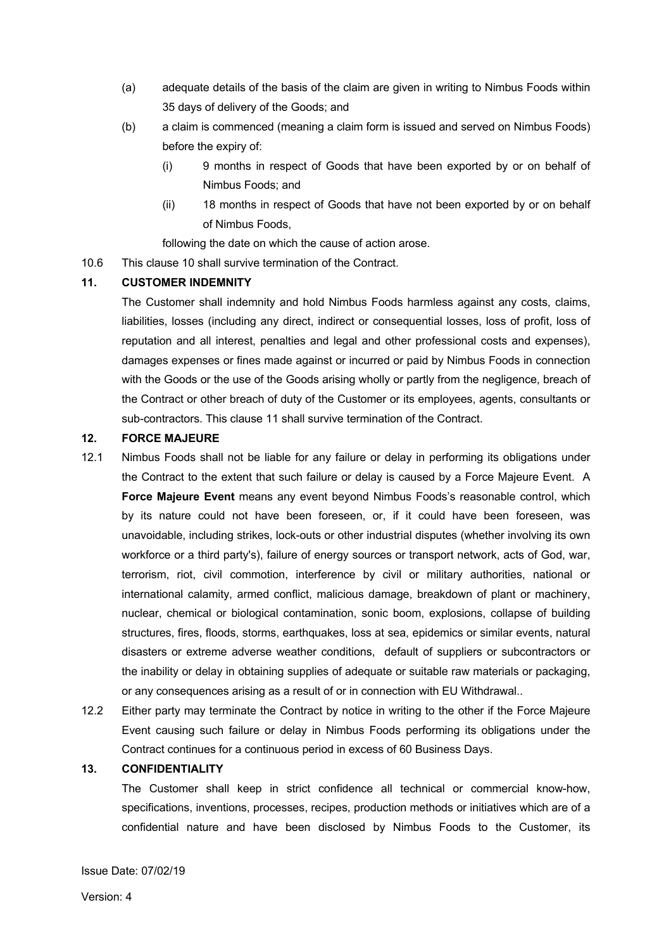- (a) adequate details of the basis of the claim are given in writing to Nimbus Foods within 35 days of delivery of the Goods; and
- (b) a claim is commenced (meaning a claim form is issued and served on Nimbus Foods) before the expiry of:
	- (i) 9 months in respect of Goods that have been exported by or on behalf of Nimbus Foods; and
	- (ii) 18 months in respect of Goods that have not been exported by or on behalf of Nimbus Foods,

following the date on which the cause of action arose.

10.6 This clause 10 shall survive termination of the Contract.

## **11. CUSTOMER INDEMNITY**

The Customer shall indemnity and hold Nimbus Foods harmless against any costs, claims, liabilities, losses (including any direct, indirect or consequential losses, loss of profit, loss of reputation and all interest, penalties and legal and other professional costs and expenses), damages expenses or fines made against or incurred or paid by Nimbus Foods in connection with the Goods or the use of the Goods arising wholly or partly from the negligence, breach of the Contract or other breach of duty of the Customer or its employees, agents, consultants or sub-contractors. This clause 11 shall survive termination of the Contract.

# **12. FORCE MAJEURE**

- 12.1 Nimbus Foods shall not be liable for any failure or delay in performing its obligations under the Contract to the extent that such failure or delay is caused by a Force Majeure Event. A **Force Majeure Event** means any event beyond Nimbus Foods's reasonable control, which by its nature could not have been foreseen, or, if it could have been foreseen, was unavoidable, including strikes, lock-outs or other industrial disputes (whether involving its own workforce or a third party's), failure of energy sources or transport network, acts of God, war, terrorism, riot, civil commotion, interference by civil or military authorities, national or international calamity, armed conflict, malicious damage, breakdown of plant or machinery, nuclear, chemical or biological contamination, sonic boom, explosions, collapse of building structures, fires, floods, storms, earthquakes, loss at sea, epidemics or similar events, natural disasters or extreme adverse weather conditions, default of suppliers or subcontractors or the inability or delay in obtaining supplies of adequate or suitable raw materials or packaging, or any consequences arising as a result of or in connection with EU Withdrawal..
- 12.2 Either party may terminate the Contract by notice in writing to the other if the Force Majeure Event causing such failure or delay in Nimbus Foods performing its obligations under the Contract continues for a continuous period in excess of 60 Business Days.

#### **13. CONFIDENTIALITY**

The Customer shall keep in strict confidence all technical or commercial know-how, specifications, inventions, processes, recipes, production methods or initiatives which are of a confidential nature and have been disclosed by Nimbus Foods to the Customer, its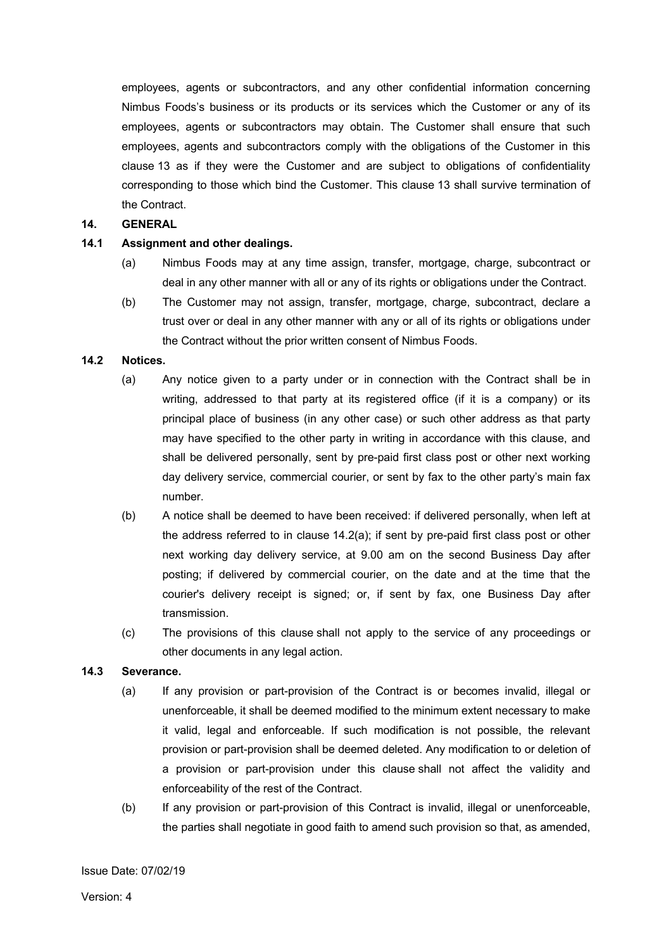employees, agents or subcontractors, and any other confidential information concerning Nimbus Foods's business or its products or its services which the Customer or any of its employees, agents or subcontractors may obtain. The Customer shall ensure that such employees, agents and subcontractors comply with the obligations of the Customer in this clause 13 as if they were the Customer and are subject to obligations of confidentiality corresponding to those which bind the Customer. This clause 13 shall survive termination of the Contract.

#### **14. GENERAL**

### **14.1 Assignment and other dealings.**

- (a) Nimbus Foods may at any time assign, transfer, mortgage, charge, subcontract or deal in any other manner with all or any of its rights or obligations under the Contract.
- (b) The Customer may not assign, transfer, mortgage, charge, subcontract, declare a trust over or deal in any other manner with any or all of its rights or obligations under the Contract without the prior written consent of Nimbus Foods.

## **14.2 Notices.**

- (a) Any notice given to a party under or in connection with the Contract shall be in writing, addressed to that party at its registered office (if it is a company) or its principal place of business (in any other case) or such other address as that party may have specified to the other party in writing in accordance with this clause, and shall be delivered personally, sent by pre-paid first class post or other next working day delivery service, commercial courier, or sent by fax to the other party's main fax number.
- (b) A notice shall be deemed to have been received: if delivered personally, when left at the address referred to in clause 14.2(a); if sent by pre-paid first class post or other next working day delivery service, at 9.00 am on the second Business Day after posting; if delivered by commercial courier, on the date and at the time that the courier's delivery receipt is signed; or, if sent by fax, one Business Day after transmission.
- (c) The provisions of this clause shall not apply to the service of any proceedings or other documents in any legal action.

## **14.3 Severance.**

- (a) If any provision or part-provision of the Contract is or becomes invalid, illegal or unenforceable, it shall be deemed modified to the minimum extent necessary to make it valid, legal and enforceable. If such modification is not possible, the relevant provision or part-provision shall be deemed deleted. Any modification to or deletion of a provision or part-provision under this clause shall not affect the validity and enforceability of the rest of the Contract.
- (b) If any provision or part-provision of this Contract is invalid, illegal or unenforceable, the parties shall negotiate in good faith to amend such provision so that, as amended,